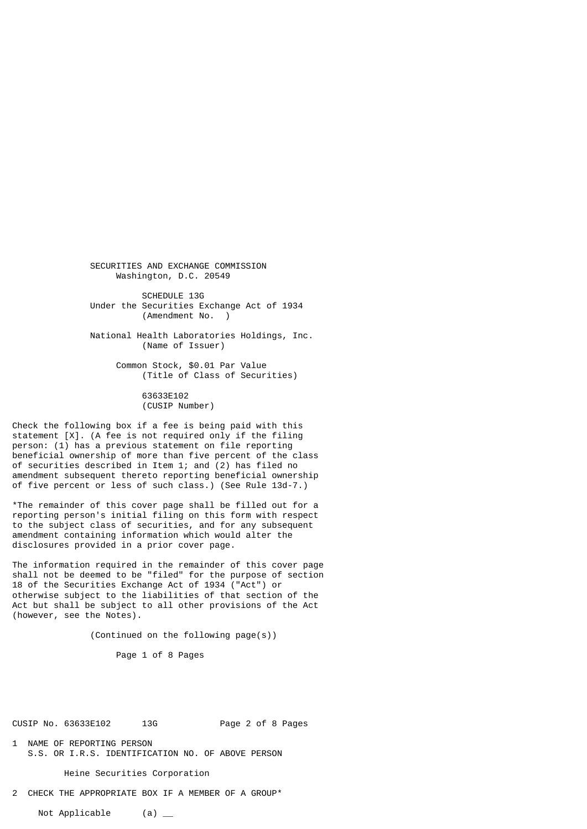SECURITIES AND EXCHANGE COMMISSION Washington, D.C. 20549

SCHEDULE 13G Under the Securities Exchange Act of 1934 (Amendment No. )

 National Health Laboratories Holdings, Inc. (Name of Issuer)

> Common Stock, \$0.01 Par Value (Title of Class of Securities)

> > 63633E102 (CUSIP Number)

Check the following box if a fee is being paid with this statement [X]. (A fee is not required only if the filing person: (1) has a previous statement on file reporting beneficial ownership of more than five percent of the class of securities described in Item 1; and (2) has filed no amendment subsequent thereto reporting beneficial ownership of five percent or less of such class.) (See Rule 13d-7.)

\*The remainder of this cover page shall be filled out for a reporting person's initial filing on this form with respect to the subject class of securities, and for any subsequent amendment containing information which would alter the disclosures provided in a prior cover page.

The information required in the remainder of this cover page shall not be deemed to be "filed" for the purpose of section 18 of the Securities Exchange Act of 1934 ("Act") or otherwise subject to the liabilities of that section of the Act but shall be subject to all other provisions of the Act (however, see the Notes).

(Continued on the following page(s))

Page 1 of 8 Pages

CUSIP No. 63633E102 13G Page 2 of 8 Pages

1 NAME OF REPORTING PERSON S.S. OR I.R.S. IDENTIFICATION NO. OF ABOVE PERSON

Heine Securities Corporation

2 CHECK THE APPROPRIATE BOX IF A MEMBER OF A GROUP\*

Not Applicable (a)  $\qquad$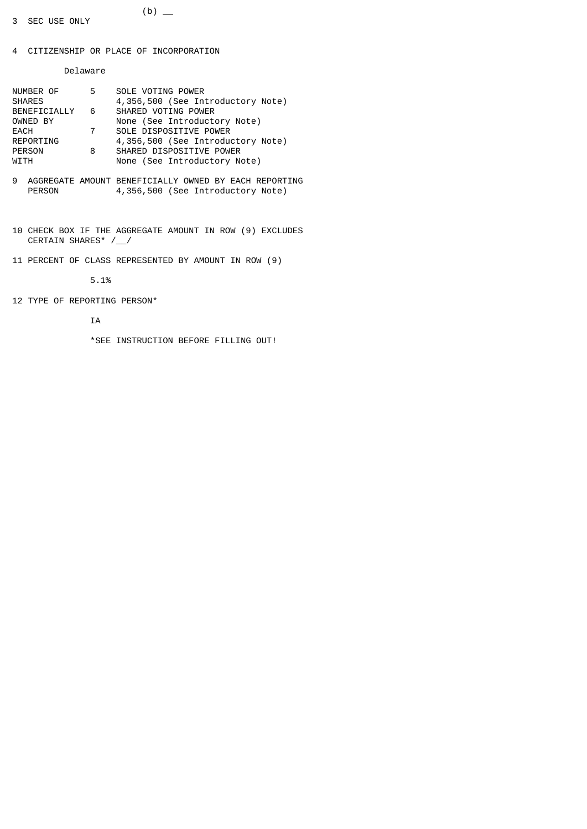4 CITIZENSHIP OR PLACE OF INCORPORATION

Delaware

| NUMBER OF<br><b>SHARES</b> | 5              | SOLE VOTING POWER<br>4,356,500 (See Introductory Note) |
|----------------------------|----------------|--------------------------------------------------------|
| BENEFICIALLY 6             |                | SHARED VOTING POWER                                    |
| OWNED BY                   |                | None (See Introductory Note)                           |
| EACH                       | $\overline{7}$ | SOLE DISPOSITIVE POWER                                 |
| REPORTING                  |                | 4,356,500 (See Introductory Note)                      |
| PERSON                     | 8              | SHARED DISPOSITIVE POWER                               |
| WITH                       |                | None (See Introductory Note)                           |

 $(b)$   $\qquad$ 

- 9 AGGREGATE AMOUNT BENEFICIALLY OWNED BY EACH REPORTING<br>PERSON 4,356,500 (See Introductory Note) 4,356,500 (See Introductory Note)
- 10 CHECK BOX IF THE AGGREGATE AMOUNT IN ROW (9) EXCLUDES CERTAIN SHARES\* /\_\_/
- 11 PERCENT OF CLASS REPRESENTED BY AMOUNT IN ROW (9)

5.1%

12 TYPE OF REPORTING PERSON\*

IA

\*SEE INSTRUCTION BEFORE FILLING OUT!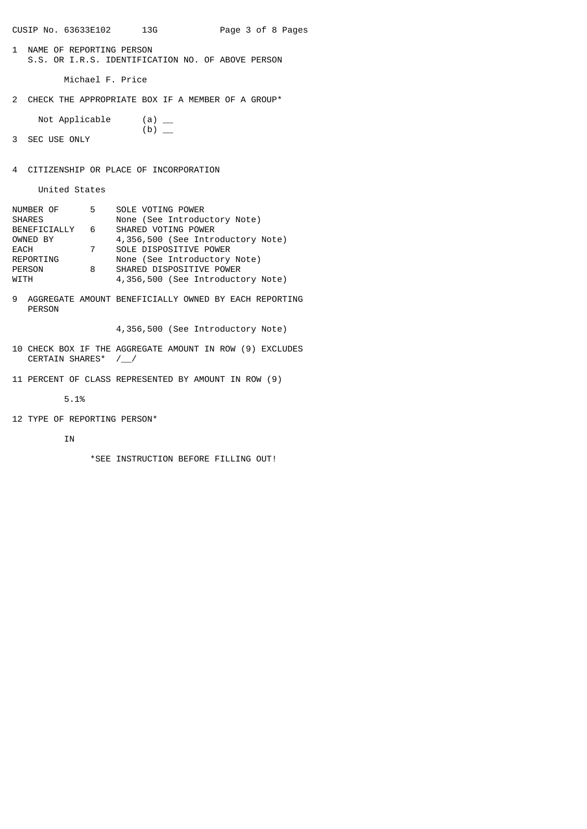CUSIP No. 63633E102 13G Page 3 of 8 Pages

1 NAME OF REPORTING PERSON S.S. OR I.R.S. IDENTIFICATION NO. OF ABOVE PERSON

Michael F. Price

- 2 CHECK THE APPROPRIATE BOX IF A MEMBER OF A GROUP\*
- Not Applicable  $(a)$  \_  $(b)$  — 3 SEC USE ONLY
- 4 CITIZENSHIP OR PLACE OF INCORPORATION

United States

| NUMBER OF      | 5              | SOLE VOTING POWER                 |
|----------------|----------------|-----------------------------------|
| <b>SHARES</b>  |                | None (See Introductory Note)      |
| BENEFICIALLY 6 |                | SHARED VOTING POWER               |
| OWNED BY       |                | 4,356,500 (See Introductory Note) |
| EACH           | $\overline{7}$ | SOLE DISPOSITIVE POWER            |
| REPORTING      |                | None (See Introductory Note)      |
| <b>PERSON</b>  | 8              | SHARED DISPOSITIVE POWER          |
| WITH           |                | 4,356,500 (See Introductory Note) |

9 AGGREGATE AMOUNT BENEFICIALLY OWNED BY EACH REPORTING PERSON

4,356,500 (See Introductory Note)

- 10 CHECK BOX IF THE AGGREGATE AMOUNT IN ROW (9) EXCLUDES CERTAIN SHARES\* /\_\_/
- 11 PERCENT OF CLASS REPRESENTED BY AMOUNT IN ROW (9)

5.1%

12 TYPE OF REPORTING PERSON\*

IN

\*SEE INSTRUCTION BEFORE FILLING OUT!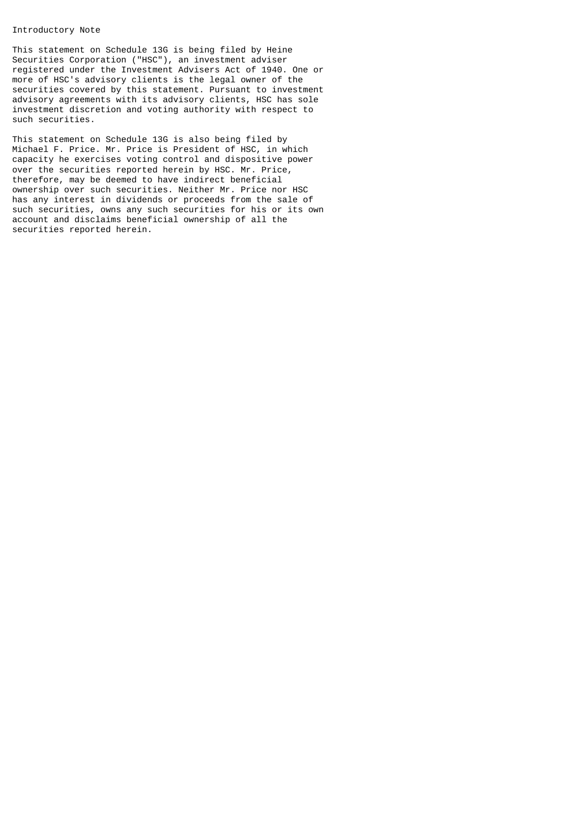## Introductory Note

This statement on Schedule 13G is being filed by Heine Securities Corporation ("HSC"), an investment adviser registered under the Investment Advisers Act of 1940. One or more of HSC's advisory clients is the legal owner of the securities covered by this statement. Pursuant to investment advisory agreements with its advisory clients, HSC has sole investment discretion and voting authority with respect to such securities.

This statement on Schedule 13G is also being filed by Michael F. Price. Mr. Price is President of HSC, in which capacity he exercises voting control and dispositive power over the securities reported herein by HSC. Mr. Price, therefore, may be deemed to have indirect beneficial ownership over such securities. Neither Mr. Price nor HSC has any interest in dividends or proceeds from the sale of such securities, owns any such securities for his or its own account and disclaims beneficial ownership of all the securities reported herein.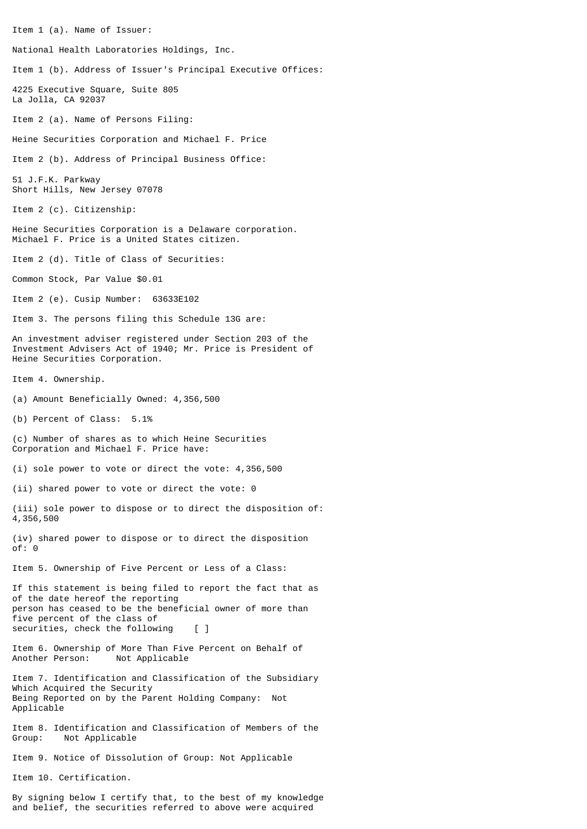Item 1 (a). Name of Issuer:

National Health Laboratories Holdings, Inc.

Item 1 (b). Address of Issuer's Principal Executive Offices:

4225 Executive Square, Suite 805 La Jolla, CA 92037

Item 2 (a). Name of Persons Filing:

Heine Securities Corporation and Michael F. Price

Item 2 (b). Address of Principal Business Office:

51 J.F.K. Parkway Short Hills, New Jersey 07078

Item 2 (c). Citizenship:

Heine Securities Corporation is a Delaware corporation. Michael F. Price is a United States citizen.

Item 2 (d). Title of Class of Securities:

Common Stock, Par Value \$0.01

Item 2 (e). Cusip Number: 63633E102

Item 3. The persons filing this Schedule 13G are:

An investment adviser registered under Section 203 of the Investment Advisers Act of 1940; Mr. Price is President of Heine Securities Corporation.

Item 4. Ownership.

(a) Amount Beneficially Owned: 4,356,500

(b) Percent of Class: 5.1%

(c) Number of shares as to which Heine Securities Corporation and Michael F. Price have:

(i) sole power to vote or direct the vote: 4,356,500

(ii) shared power to vote or direct the vote: 0

(iii) sole power to dispose or to direct the disposition of: 4,356,500

(iv) shared power to dispose or to direct the disposition of: 0

Item 5. Ownership of Five Percent or Less of a Class:

If this statement is being filed to report the fact that as of the date hereof the reporting person has ceased to be the beneficial owner of more than five percent of the class of securities, check the following [ ]

Item 6. Ownership of More Than Five Percent on Behalf of Another Person: Not Applicable

Item 7. Identification and Classification of the Subsidiary Which Acquired the Security Being Reported on by the Parent Holding Company: Not Applicable

Item 8. Identification and Classification of Members of the Group: Not Applicable

Item 9. Notice of Dissolution of Group: Not Applicable

Item 10. Certification.

By signing below I certify that, to the best of my knowledge and belief, the securities referred to above were acquired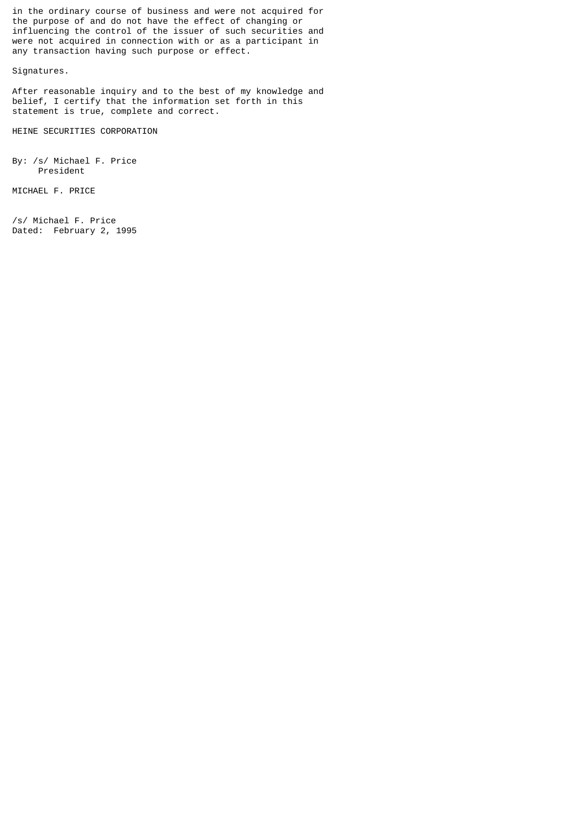in the ordinary course of business and were not acquired for the purpose of and do not have the effect of changing or influencing the control of the issuer of such securities and were not acquired in connection with or as a participant in any transaction having such purpose or effect.

Signatures.

After reasonable inquiry and to the best of my knowledge and belief, I certify that the information set forth in this statement is true, complete and correct.

HEINE SECURITIES CORPORATION

By: /s/ Michael F. Price President

MICHAEL F. PRICE

/s/ Michael F. Price Dated: February 2, 1995